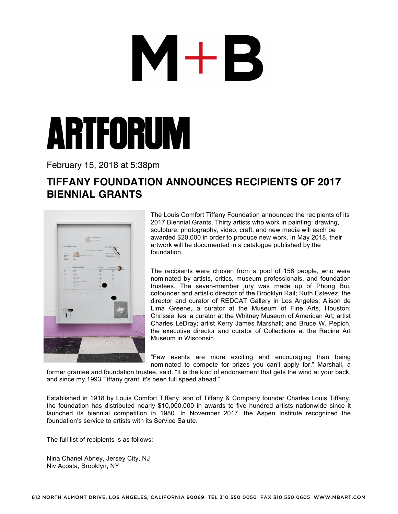## $\mathbf{M}+\mathbf{B}$



February 15, 2018 at 5:38pm

## **TIFFANY FOUNDATION ANNOUNCES RECIPIENTS OF 2017 BIENNIAL GRANTS**



The Louis Comfort Tiffany Foundation announced the recipients of its 2017 Biennial Grants. Thirty artists who work in painting, drawing, sculpture, photography, video, craft, and new media will each be awarded \$20,000 in order to produce new work. In May 2018, their artwork will be documented in a catalogue published by the foundation.

The recipients were chosen from a pool of 156 people, who were nominated by artists, critics, museum professionals, and foundation trustees. The seven-member jury was made up of Phong Bui, cofounder and artistic director of the Brooklyn Rail; Ruth Estevez, the director and curator of REDCAT Gallery in Los Angeles; Alison de Lima Greene, a curator at the Museum of Fine Arts, Houston; Chrissie Iles, a curator at the Whitney Museum of American Art; artist Charles LeDray; artist Kerry James Marshall; and Bruce W. Pepich, the executive director and curator of Collections at the Racine Art Museum in Wisconsin.

"Few events are more exciting and encouraging than being nominated to compete for prizes you can't apply for," Marshall, a

former grantee and foundation trustee, said. "It is the kind of endorsement that gets the wind at your back, and since my 1993 Tiffany grant, it's been full speed ahead."

Established in 1918 by Louis Comfort Tiffany, son of Tiffany & Company founder Charles Louis Tiffany, the foundation has distributed nearly \$10,000,000 in awards to five hundred artists nationwide since it launched its biennial competition in 1980. In November 2017, the Aspen Institute recognized the foundation's service to artists with its Service Salute.

The full list of recipients is as follows:

Nina Chanel Abney, Jersey City, NJ Niv Acosta, Brooklyn, NY